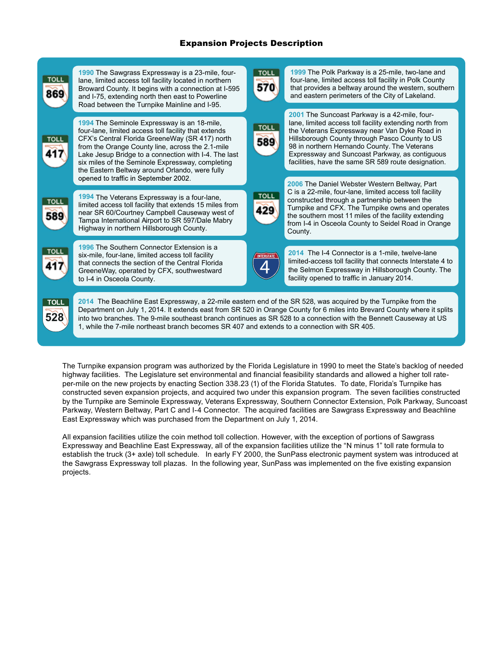## Expansion Projects Description

| TOLI               | 1990 The Sawgrass Expressway is a 23-mile, four-<br>lane, limited access toll facility located in northern<br>Broward County. It begins with a connection at I-595<br>and I-75, extending north then east to Powerline<br>Road between the Turnpike Mainline and I-95.                                                                                                                                                                                           | <b>TOLI</b>        | 1999 The Polk Parkway is a 25-mile, two-lane and<br>four-lane, limited access toll facility in Polk County<br>that provides a beltway around the western, southern<br>and eastern perimeters of the City of Lakeland.                                                                                                                                                |  |  |
|--------------------|------------------------------------------------------------------------------------------------------------------------------------------------------------------------------------------------------------------------------------------------------------------------------------------------------------------------------------------------------------------------------------------------------------------------------------------------------------------|--------------------|----------------------------------------------------------------------------------------------------------------------------------------------------------------------------------------------------------------------------------------------------------------------------------------------------------------------------------------------------------------------|--|--|
| TOLI               | 1994 The Seminole Expressway is an 18-mile,<br>four-lane, limited access toll facility that extends<br>CFX's Central Florida GreeneWay (SR 417) north<br>from the Orange County line, across the 2.1-mile<br>Lake Jesup Bridge to a connection with I-4. The last<br>six miles of the Seminole Expressway, completing<br>the Eastern Beltway around Orlando, were fully                                                                                          | TOLL<br>589        | 2001 The Suncoast Parkway is a 42-mile, four-<br>lane, limited access toll facility extending north from<br>the Veterans Expressway near Van Dyke Road in<br>Hillsborough County through Pasco County to US<br>98 in northern Hernando County. The Veterans<br>Expressway and Suncoast Parkway, as contiguous<br>facilities, have the same SR 589 route designation. |  |  |
| TOL                | opened to traffic in September 2002.<br>1994 The Veterans Expressway is a four-lane,<br>limited access toll facility that extends 15 miles from<br>near SR 60/Courtney Campbell Causeway west of<br>Tampa International Airport to SR 597/Dale Mabry<br>Highway in northern Hillsborough County.                                                                                                                                                                 | <b>TOLL</b><br>129 | 2006 The Daniel Webster Western Beltway, Part<br>C is a 22-mile, four-lane, limited access toll facility<br>constructed through a partnership between the<br>Turnpike and CFX. The Turnpike owns and operates<br>the southern most 11 miles of the facility extending<br>from I-4 in Osceola County to Seidel Road in Orange<br>County.                              |  |  |
|                    | 1996 The Southern Connector Extension is a<br>six-mile, four-lane, limited access toll facility<br>that connects the section of the Central Florida<br>GreeneWay, operated by CFX, southwestward<br>to I-4 in Osceola County.                                                                                                                                                                                                                                    | <b>INTERSTATE</b>  | 2014 The I-4 Connector is a 1-mile, twelve-lane<br>limited-access toll facility that connects Interstate 4 to<br>the Selmon Expressway in Hillsborough County. The<br>facility opened to traffic in January 2014.                                                                                                                                                    |  |  |
| <b>TOLL</b><br>528 | 2014 The Beachline East Expressway, a 22-mile eastern end of the SR 528, was acquired by the Turnpike from the<br>Department on July 1, 2014. It extends east from SR 520 in Orange County for 6 miles into Brevard County where it splits<br>into two branches. The 9-mile southeast branch continues as SR 528 to a connection with the Bennett Causeway at US<br>1, while the 7-mile northeast branch becomes SR 407 and extends to a connection with SR 405. |                    |                                                                                                                                                                                                                                                                                                                                                                      |  |  |

The Turnpike expansion program was authorized by the Florida Legislature in 1990 to meet the State's backlog of needed highway facilities. The Legislature set environmental and financial feasibility standards and allowed a higher toll rateper-mile on the new projects by enacting Section 338.23 (1) of the Florida Statutes. To date, Florida's Turnpike has constructed seven expansion projects, and acquired two under this expansion program. The seven facilities constructed by the Turnpike are Seminole Expressway, Veterans Expressway, Southern Connector Extension, Polk Parkway, Suncoast Parkway, Western Beltway, Part C and I-4 Connector. The acquired facilities are Sawgrass Expressway and Beachline East Expressway which was purchased from the Department on July 1, 2014.

All expansion facilities utilize the coin method toll collection. However, with the exception of portions of Sawgrass Expressway and Beachline East Expressway, all of the expansion facilities utilize the "N minus 1" toll rate formula to establish the truck (3+ axle) toll schedule. In early FY 2000, the SunPass electronic payment system was introduced at the Sawgrass Expressway toll plazas. In the following year, SunPass was implemented on the five existing expansion projects.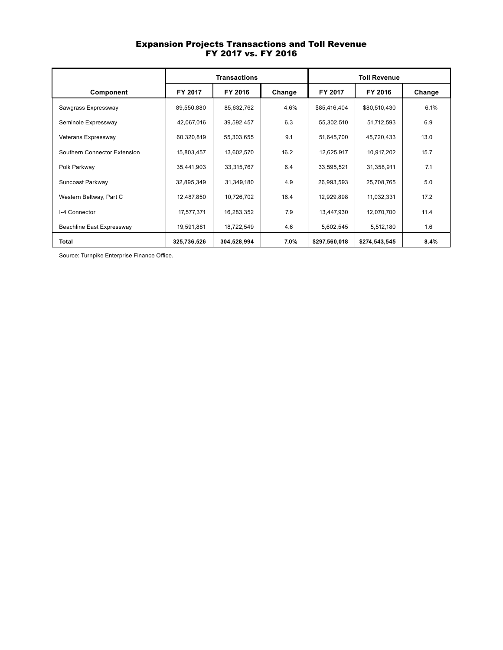## Expansion Projects Transactions and Toll Revenue FY 2017 vs. FY 2016

|                              | <b>Transactions</b> |             |        | <b>Toll Revenue</b> |               |        |  |
|------------------------------|---------------------|-------------|--------|---------------------|---------------|--------|--|
| Component                    | FY 2017             | FY 2016     | Change | FY 2017             | FY 2016       | Change |  |
| Sawgrass Expressway          | 89,550,880          | 85,632,762  | 4.6%   | \$85,416,404        | \$80,510,430  | 6.1%   |  |
| Seminole Expressway          | 42,067,016          | 39,592,457  | 6.3    | 55,302,510          | 51,712,593    | 6.9    |  |
| Veterans Expressway          | 60,320,819          | 55,303,655  | 9.1    | 51,645,700          | 45,720,433    | 13.0   |  |
| Southern Connector Extension | 15,803,457          | 13,602,570  | 16.2   | 12,625,917          | 10,917,202    | 15.7   |  |
| Polk Parkway                 | 35,441,903          | 33,315,767  | 6.4    | 33,595,521          | 31,358,911    | 7.1    |  |
| Suncoast Parkway             | 32,895,349          | 31,349,180  | 4.9    | 26,993,593          | 25,708,765    | 5.0    |  |
| Western Beltway, Part C      | 12,487,850          | 10,726,702  | 16.4   | 12,929,898          | 11,032,331    | 17.2   |  |
| I-4 Connector                | 17,577,371          | 16,283,352  | 7.9    | 13,447,930          | 12,070,700    | 11.4   |  |
| Beachline East Expressway    | 19,591,881          | 18,722,549  | 4.6    | 5,602,545           | 5,512,180     | 1.6    |  |
| Total                        | 325,736,526         | 304,528,994 | 7.0%   | \$297,560,018       | \$274,543,545 | 8.4%   |  |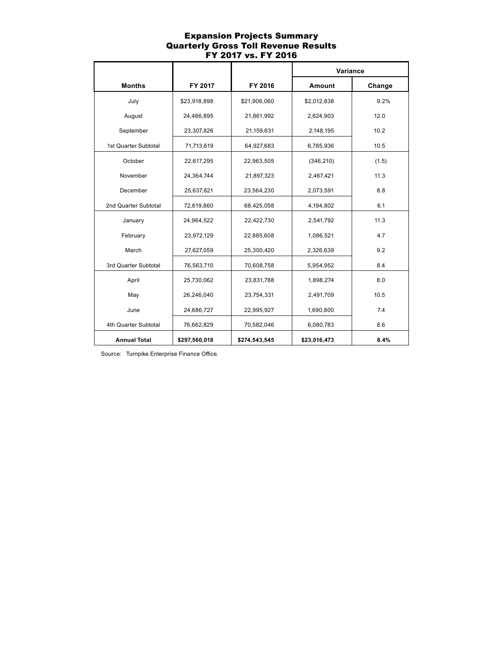## Expansion Projects Summary Quarterly Gross Toll Revenue Results FY 2017 vs. FY 2016

|                      |               |               | Variance      |        |
|----------------------|---------------|---------------|---------------|--------|
| <b>Months</b>        | FY 2017       | FY 2016       | <b>Amount</b> | Change |
| July                 | \$23,918,898  | \$21,906,060  | \$2,012,838   | 9.2%   |
| August               | 24,486,895    | 21,861,992    | 2,624,903     | 12.0   |
| September            | 23,307,826    | 21,159,631    | 2,148,195     | 10.2   |
| 1st Quarter Subtotal | 71,713,619    | 64,927,683    | 6,785,936     | 10.5   |
| October              | 22,617,295    | 22,963,505    | (346, 210)    | (1.5)  |
| November             | 24,364,744    | 21,897,323    | 2,467,421     | 11.3   |
| December             | 25,637,821    | 23,564,230    | 2,073,591     | 8.8    |
| 2nd Quarter Subtotal | 72,619,860    | 68,425,058    | 4,194,802     | 6.1    |
| January              | 24,964,522    | 22,422,730    | 2,541,792     | 11.3   |
| February             | 23,972,129    | 22,885,608    | 1,086,521     | 4.7    |
| March                | 27,627,059    | 25,300,420    | 2,326,639     | 9.2    |
| 3rd Quarter Subtotal | 76,563,710    | 70,608,758    | 5,954,952     | 8.4    |
| April                | 25,730,062    | 23,831,788    | 1,898,274     | 8.0    |
| May                  | 26,246,040    | 23,754,331    | 2,491,709     | 10.5   |
| June                 | 24,686,727    | 22,995,927    | 1,690,800     | 7.4    |
| 4th Quarter Subtotal | 76,662,829    | 70,582,046    | 6,080,783     | 8.6    |
| <b>Annual Total</b>  | \$297,560,018 | \$274,543,545 | \$23,016,473  | 8.4%   |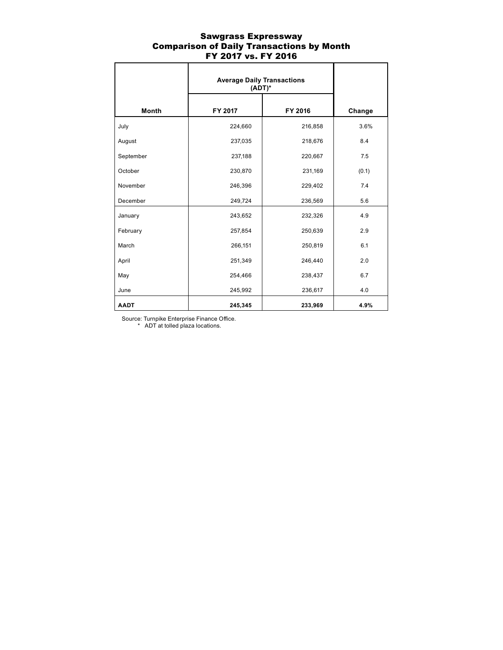## Sawgrass Expressway Comparison of Daily Transactions by Month FY 2017 vs. FY 2016

|              | <b>Average Daily Transactions</b><br>$(ADT)^*$ |         |        |
|--------------|------------------------------------------------|---------|--------|
| <b>Month</b> | FY 2017                                        | FY 2016 | Change |
| July         | 224,660                                        | 216,858 | 3.6%   |
| August       | 237,035                                        | 218,676 | 8.4    |
| September    | 237,188                                        | 220,667 | 7.5    |
| October      | 230,870                                        | 231,169 | (0.1)  |
| November     | 246,396                                        | 229,402 | 7.4    |
| December     | 249,724                                        | 236,569 | 5.6    |
| January      | 243,652                                        | 232,326 | 4.9    |
| February     | 257,854                                        | 250,639 | 2.9    |
| March        | 266,151                                        | 250,819 | 6.1    |
| April        | 251,349                                        | 246,440 | 2.0    |
| May          | 254,466                                        | 238,437 | 6.7    |
| June         | 245,992                                        | 236,617 | 4.0    |
| <b>AADT</b>  | 245,345                                        | 233,969 | 4.9%   |

Source: Turnpike Enterprise Finance Office.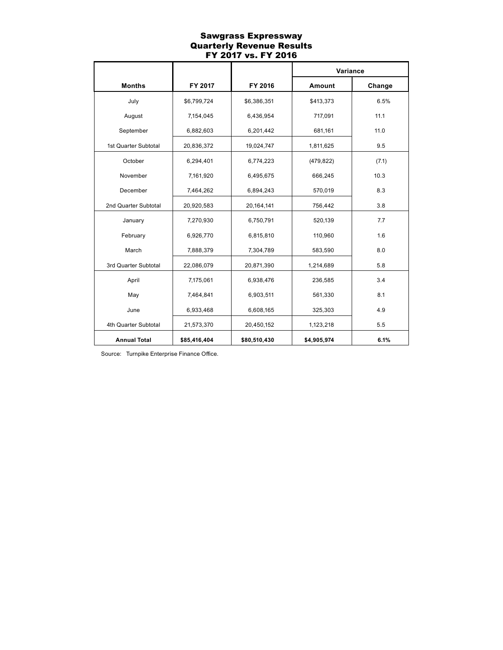## Sawgrass Expressway Quarterly Revenue Results FY 2017 vs. FY 2016

|                      |              |              | Variance      |        |
|----------------------|--------------|--------------|---------------|--------|
| <b>Months</b>        | FY 2017      | FY 2016      | <b>Amount</b> | Change |
| July                 | \$6,799,724  | \$6,386,351  | \$413,373     | 6.5%   |
| August               | 7,154,045    | 6,436,954    | 717,091       | 11.1   |
| September            | 6,882,603    | 6,201,442    | 681,161       | 11.0   |
| 1st Quarter Subtotal | 20,836,372   | 19,024,747   | 1,811,625     | 9.5    |
| October              | 6,294,401    | 6,774,223    | (479, 822)    | (7.1)  |
| November             | 7,161,920    | 6,495,675    | 666,245       | 10.3   |
| December             | 7,464,262    | 6,894,243    | 570,019       | 8.3    |
| 2nd Quarter Subtotal | 20,920,583   | 20,164,141   | 756,442       | 3.8    |
| January              | 7,270,930    | 6,750,791    | 520,139       | 7.7    |
| February             | 6,926,770    | 6,815,810    | 110,960       | 1.6    |
| March                | 7,888,379    | 7,304,789    | 583,590       | 8.0    |
| 3rd Quarter Subtotal | 22,086,079   | 20,871,390   | 1,214,689     | 5.8    |
| April                | 7,175,061    | 6,938,476    | 236,585       | 3.4    |
| May                  | 7,464,841    | 6,903,511    | 561,330       | 8.1    |
| June                 | 6,933,468    | 6,608,165    | 325,303       | 4.9    |
| 4th Quarter Subtotal | 21,573,370   | 20,450,152   | 1,123,218     | 5.5    |
| <b>Annual Total</b>  | \$85,416,404 | \$80,510,430 | \$4,905,974   | 6.1%   |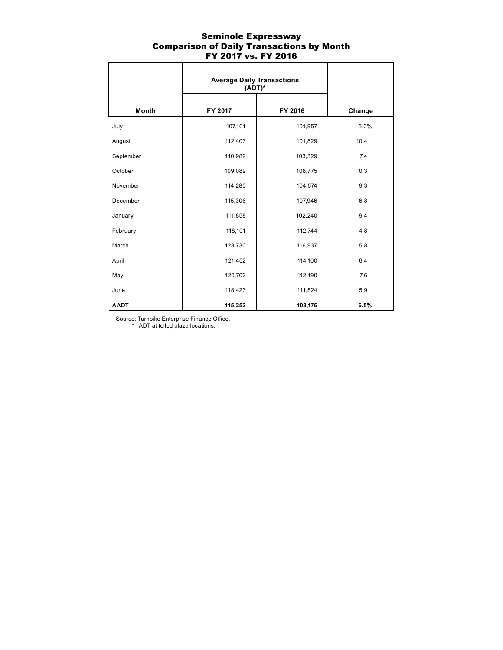## Seminole Expressway Comparison of Daily Transactions by Month FY 2017 vs. FY 2016

|              | <b>Average Daily Transactions</b><br>$(ADT)^*$ |         |        |
|--------------|------------------------------------------------|---------|--------|
| <b>Month</b> | FY 2017                                        | FY 2016 | Change |
| July         | 107,101                                        | 101,957 | 5.0%   |
| August       | 112,403                                        | 101,829 | 10.4   |
| September    | 110,989                                        | 103,329 | 7.4    |
| October      | 109,089                                        | 108,775 | 0.3    |
| November     | 114,280                                        | 104,574 | 9.3    |
| December     | 115,306                                        | 107,946 | 6.8    |
| January      | 111,858                                        | 102,240 | 9.4    |
| February     | 118,101                                        | 112,744 | 4.8    |
| March        | 123,730                                        | 116,937 | 5.8    |
| April        | 121,452                                        | 114,100 | 6.4    |
| May          | 120,702                                        | 112,190 | 7.6    |
| June         | 118,423                                        | 111,824 | 5.9    |
| <b>AADT</b>  | 115,252                                        | 108,176 | 6.5%   |

Source: Turnpike Enterprise Finance Office.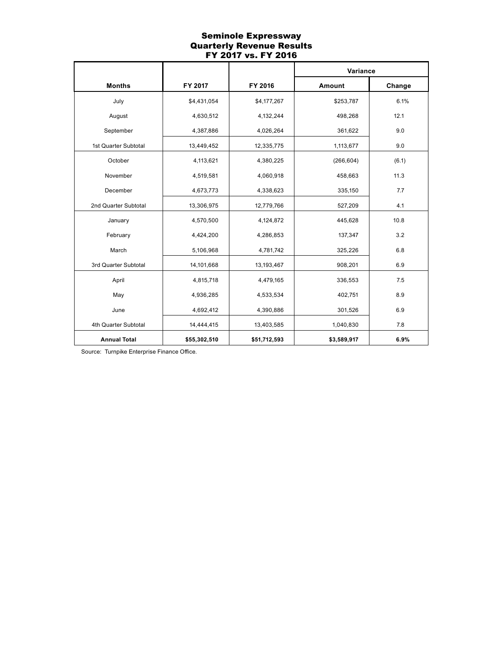## Seminole Expressway Quarterly Revenue Results FY 2017 vs. FY 2016

|                      |              |              | Variance    |        |
|----------------------|--------------|--------------|-------------|--------|
| <b>Months</b>        | FY 2017      | FY 2016      | Amount      | Change |
| July                 | \$4,431,054  | \$4,177,267  | \$253,787   | 6.1%   |
| August               | 4,630,512    | 4,132,244    | 498,268     | 12.1   |
| September            | 4,387,886    | 4,026,264    | 361,622     | 9.0    |
| 1st Quarter Subtotal | 13,449,452   | 12,335,775   | 1,113,677   | 9.0    |
| October              | 4,113,621    | 4,380,225    | (266, 604)  | (6.1)  |
| November             | 4,519,581    | 4,060,918    | 458,663     | 11.3   |
| December             | 4,673,773    | 4,338,623    | 335,150     | 7.7    |
| 2nd Quarter Subtotal | 13,306,975   | 12,779,766   | 527,209     | 4.1    |
| January              | 4,570,500    | 4,124,872    | 445,628     | 10.8   |
| February             | 4,424,200    | 4,286,853    | 137,347     | 3.2    |
| March                | 5,106,968    | 4,781,742    | 325,226     | 6.8    |
| 3rd Quarter Subtotal | 14,101,668   | 13,193,467   | 908,201     | 6.9    |
| April                | 4,815,718    | 4,479,165    | 336,553     | 7.5    |
| May                  | 4,936,285    | 4,533,534    | 402,751     | 8.9    |
| June                 | 4,692,412    | 4,390,886    | 301,526     | 6.9    |
| 4th Quarter Subtotal | 14,444,415   | 13,403,585   | 1,040,830   | 7.8    |
| <b>Annual Total</b>  | \$55,302,510 | \$51,712,593 | \$3,589,917 | 6.9%   |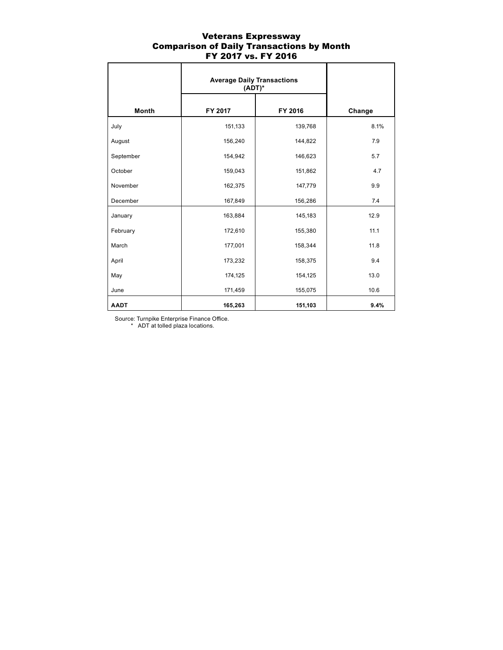## Veterans Expressway Comparison of Daily Transactions by Month FY 2017 vs. FY 2016

|              | <b>Average Daily Transactions</b><br>$(ADT)^*$ |         |        |
|--------------|------------------------------------------------|---------|--------|
| <b>Month</b> | FY 2017                                        | FY 2016 | Change |
| July         | 151,133                                        | 139,768 | 8.1%   |
| August       | 156,240                                        | 144,822 | 7.9    |
| September    | 154,942                                        | 146,623 | 5.7    |
| October      | 159,043                                        | 151,862 | 4.7    |
| November     | 162,375                                        | 147,779 | 9.9    |
| December     | 167,849                                        | 156,286 | 7.4    |
| January      | 163,884                                        | 145,183 | 12.9   |
| February     | 172,610                                        | 155,380 | 11.1   |
| March        | 177,001                                        | 158,344 | 11.8   |
| April        | 173,232                                        | 158,375 | 9.4    |
| May          | 174,125                                        | 154,125 | 13.0   |
| June         | 171,459                                        | 155,075 | 10.6   |
| <b>AADT</b>  | 165,263                                        | 151,103 | 9.4%   |

Source: Turnpike Enterprise Finance Office.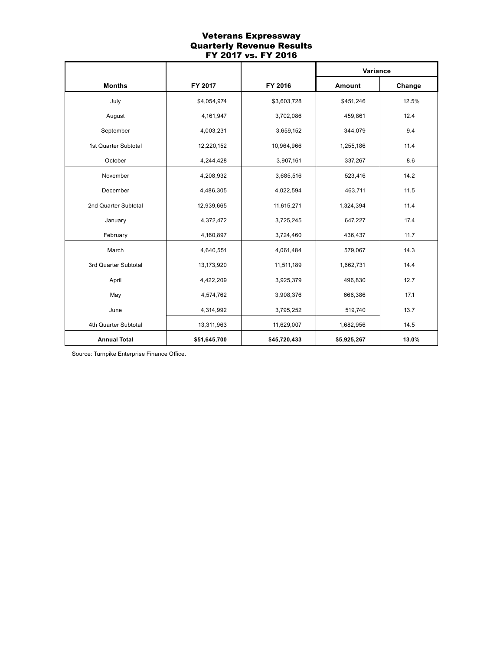## Veterans Expressway Quarterly Revenue Results FY 2017 vs. FY 2016

|                      |              |              | Variance    |        |
|----------------------|--------------|--------------|-------------|--------|
| <b>Months</b>        | FY 2017      | FY 2016      | Amount      | Change |
| July                 | \$4,054,974  | \$3,603,728  | \$451,246   | 12.5%  |
| August               | 4,161,947    | 3,702,086    | 459,861     | 12.4   |
| September            | 4,003,231    | 3,659,152    | 344,079     | 9.4    |
| 1st Quarter Subtotal | 12,220,152   | 10,964,966   | 1,255,186   | 11.4   |
| October              | 4,244,428    | 3,907,161    | 337,267     | 8.6    |
| November             | 4,208,932    | 3,685,516    | 523,416     | 14.2   |
| December             | 4,486,305    | 4,022,594    | 463,711     | 11.5   |
| 2nd Quarter Subtotal | 12,939,665   | 11,615,271   | 1,324,394   | 11.4   |
| January              | 4,372,472    | 3,725,245    | 647,227     | 17.4   |
| February             | 4,160,897    | 3,724,460    | 436,437     | 11.7   |
| March                | 4,640,551    | 4,061,484    | 579,067     | 14.3   |
| 3rd Quarter Subtotal | 13,173,920   | 11,511,189   | 1,662,731   | 14.4   |
| April                | 4,422,209    | 3,925,379    | 496,830     | 12.7   |
| May                  | 4,574,762    | 3,908,376    | 666,386     | 17.1   |
| June                 | 4,314,992    | 3,795,252    | 519,740     | 13.7   |
| 4th Quarter Subtotal | 13,311,963   | 11,629,007   | 1,682,956   | 14.5   |
| <b>Annual Total</b>  | \$51,645,700 | \$45,720,433 | \$5,925,267 | 13.0%  |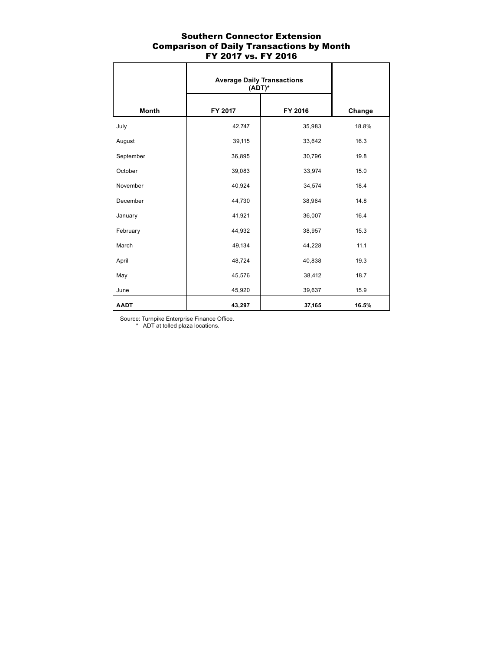# Southern Connector Extension Comparison of Daily Transactions by Month FY 2017 vs. FY 2016

|              | <b>Average Daily Transactions</b><br>$(ADT)^*$ |         |        |
|--------------|------------------------------------------------|---------|--------|
| <b>Month</b> | FY 2017                                        | FY 2016 | Change |
| July         | 42,747                                         | 35,983  | 18.8%  |
| August       | 39,115                                         | 33,642  | 16.3   |
| September    | 36,895                                         | 30,796  | 19.8   |
| October      | 39,083                                         | 33,974  | 15.0   |
| November     | 40,924                                         | 34,574  | 18.4   |
| December     | 44,730                                         | 38,964  | 14.8   |
| January      | 41,921                                         | 36,007  | 16.4   |
| February     | 44,932                                         | 38,957  | 15.3   |
| March        | 49,134                                         | 44,228  | 11.1   |
| April        | 48,724                                         | 40,838  | 19.3   |
| May          | 45,576                                         | 38,412  | 18.7   |
| June         | 45,920                                         | 39,637  | 15.9   |
| <b>AADT</b>  | 43,297                                         | 37,165  | 16.5%  |

Source: Turnpike Enterprise Finance Office.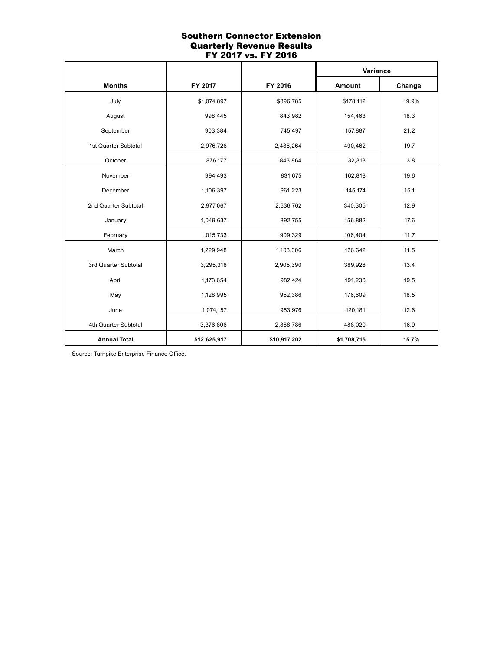## Southern Connector Extension Quarterly Revenue Results FY 2017 vs. FY 2016

|                      |              |              | Variance    |        |
|----------------------|--------------|--------------|-------------|--------|
| <b>Months</b>        | FY 2017      | FY 2016      | Amount      | Change |
| July                 | \$1,074,897  | \$896,785    | \$178,112   | 19.9%  |
| August               | 998,445      | 843,982      | 154,463     | 18.3   |
| September            | 903,384      | 745,497      | 157,887     | 21.2   |
| 1st Quarter Subtotal | 2,976,726    | 2,486,264    | 490,462     | 19.7   |
| October              | 876,177      | 843,864      | 32,313      | 3.8    |
| November             | 994,493      | 831,675      | 162,818     | 19.6   |
| December             | 1,106,397    | 961,223      | 145,174     | 15.1   |
| 2nd Quarter Subtotal | 2,977,067    | 2,636,762    | 340,305     | 12.9   |
| January              | 1,049,637    | 892,755      | 156,882     | 17.6   |
| February             | 1,015,733    | 909,329      | 106,404     | 11.7   |
| March                | 1,229,948    | 1,103,306    | 126,642     | 11.5   |
| 3rd Quarter Subtotal | 3,295,318    | 2,905,390    | 389,928     | 13.4   |
| April                | 1,173,654    | 982,424      | 191,230     | 19.5   |
| May                  | 1,128,995    | 952,386      | 176,609     | 18.5   |
| June                 | 1,074,157    | 953,976      | 120,181     | 12.6   |
| 4th Quarter Subtotal | 3,376,806    | 2,888,786    | 488,020     | 16.9   |
| <b>Annual Total</b>  | \$12,625,917 | \$10,917,202 | \$1,708,715 | 15.7%  |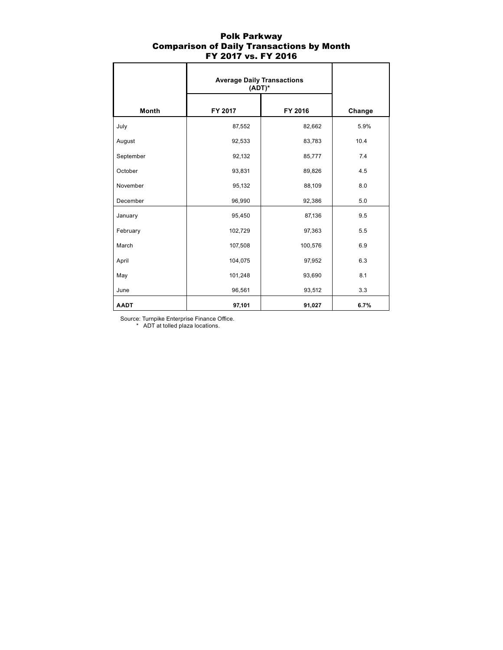## Polk Parkway Comparison of Daily Transactions by Month FY 2017 vs. FY 2016

|              | <b>Average Daily Transactions</b><br>$(ADT)^*$ |         |        |
|--------------|------------------------------------------------|---------|--------|
| <b>Month</b> | FY 2017                                        | FY 2016 | Change |
| July         | 87,552                                         | 82,662  | 5.9%   |
| August       | 92,533                                         | 83,783  | 10.4   |
| September    | 92,132                                         | 85,777  | 7.4    |
| October      | 93,831                                         | 89,826  | 4.5    |
| November     | 95,132                                         | 88,109  | 8.0    |
| December     | 96,990                                         | 92,386  | 5.0    |
| January      | 95,450                                         | 87,136  | 9.5    |
| February     | 102,729                                        | 97,363  | 5.5    |
| March        | 107,508                                        | 100,576 | 6.9    |
| April        | 104,075                                        | 97,952  | 6.3    |
| May          | 101,248                                        | 93,690  | 8.1    |
| June         | 96,561                                         | 93,512  | 3.3    |
| <b>AADT</b>  | 97,101                                         | 91,027  | 6.7%   |

Source: Turnpike Enterprise Finance Office.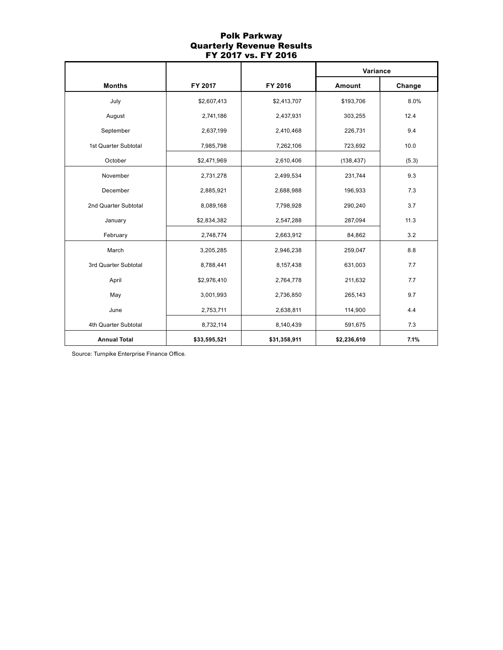# Polk Parkway Quarterly Revenue Results FY 2017 vs. FY 2016

|                      |              |              | Variance    |            |
|----------------------|--------------|--------------|-------------|------------|
| <b>Months</b>        | FY 2017      | FY 2016      | Amount      | Change     |
| July                 | \$2,607,413  | \$2,413,707  | \$193,706   | 8.0%       |
| August               | 2,741,186    | 2,437,931    | 303,255     | 12.4       |
| September            | 2,637,199    | 2,410,468    | 226,731     | 9.4        |
| 1st Quarter Subtotal | 7,985,798    | 7,262,106    | 723,692     | 10.0       |
| October              | \$2,471,969  | 2,610,406    | (138, 437)  | (5.3)      |
| November             | 2,731,278    | 2,499,534    | 231,744     | 9.3        |
| December             | 2,885,921    | 2,688,988    | 196,933     | 7.3<br>3.7 |
| 2nd Quarter Subtotal | 8,089,168    | 7,798,928    | 290,240     |            |
| January              | \$2,834,382  | 2,547,288    | 287,094     | 11.3       |
| February             | 2,748,774    | 2,663,912    | 84,862      | 3.2        |
| March                | 3,205,285    | 2,946,238    | 259,047     | 8.8        |
| 3rd Quarter Subtotal | 8,788,441    | 8,157,438    | 631,003     | 7.7        |
| April                | \$2,976,410  | 2,764,778    | 211,632     | 7.7        |
| May                  | 3,001,993    | 2,736,850    | 265,143     | 9.7        |
| June                 | 2,753,711    | 2,638,811    | 114,900     | 4.4        |
| 4th Quarter Subtotal | 8,732,114    | 8,140,439    | 591,675     | 7.3        |
| <b>Annual Total</b>  | \$33,595,521 | \$31,358,911 | \$2,236,610 | 7.1%       |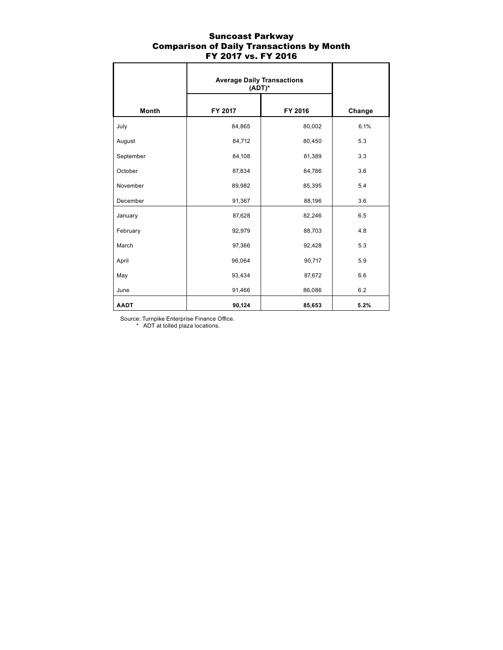## Suncoast Parkway Comparison of Daily Transactions by Month FY 2017 vs. FY 2016

|             | <b>Average Daily Transactions</b><br>$(ADT)^*$ |         |        |
|-------------|------------------------------------------------|---------|--------|
| Month       | FY 2017                                        | FY 2016 | Change |
| July        | 84,865                                         | 80,002  | 6.1%   |
| August      | 84,712                                         | 80,450  | 5.3    |
| September   | 84,108                                         | 81,389  | 3.3    |
| October     | 87,834                                         | 84,786  | 3.6    |
| November    | 89,982                                         | 85,395  | 5.4    |
| December    | 91,367                                         | 88,196  | 3.6    |
| January     | 87,628                                         | 82,246  | 6.5    |
| February    | 92,979                                         | 88,703  | 4.8    |
| March       | 97,366                                         | 92,428  | 5.3    |
| April       | 96,064                                         | 90,717  | 5.9    |
| May         | 93,434                                         | 87,672  | 6.6    |
| June        | 91,466                                         | 86,086  | 6.2    |
| <b>AADT</b> | 90,124                                         | 85,653  | 5.2%   |

Source: Turnpike Enterprise Finance Office.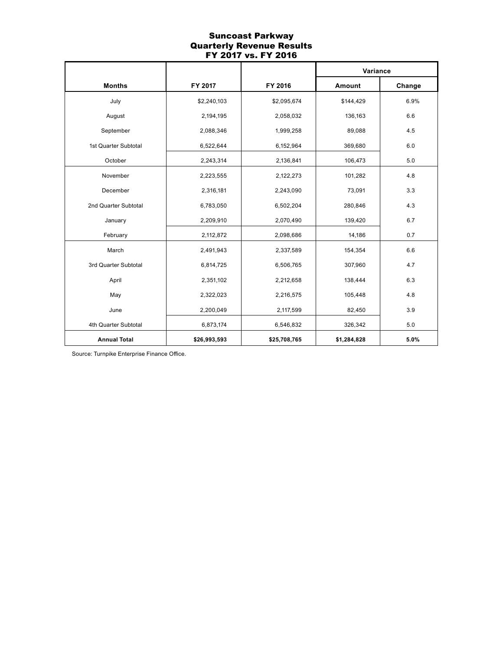# Suncoast Parkway Quarterly Revenue Results FY 2017 vs. FY 2016

|                      |              |              | Variance    |        |
|----------------------|--------------|--------------|-------------|--------|
| <b>Months</b>        | FY 2017      | FY 2016      | Amount      | Change |
| July                 | \$2,240,103  | \$2,095,674  | \$144,429   | 6.9%   |
| August               | 2,194,195    | 2,058,032    | 136,163     | 6.6    |
| September            | 2,088,346    | 1,999,258    | 89,088      | 4.5    |
| 1st Quarter Subtotal | 6,522,644    | 6,152,964    | 369,680     | 6.0    |
| October              | 2,243,314    | 2,136,841    | 106,473     | 5.0    |
| November             | 2,223,555    | 2,122,273    | 101,282     | 4.8    |
| December             | 2,316,181    | 2,243,090    | 73,091      | 3.3    |
| 2nd Quarter Subtotal | 6,783,050    | 6,502,204    | 280,846     | 4.3    |
| January              | 2,209,910    | 2,070,490    | 139,420     | 6.7    |
| February             | 2,112,872    | 2,098,686    | 14,186      | 0.7    |
| March                | 2,491,943    | 2,337,589    | 154,354     | 6.6    |
| 3rd Quarter Subtotal | 6,814,725    | 6,506,765    | 307,960     | 4.7    |
| April                | 2,351,102    | 2,212,658    | 138,444     | 6.3    |
| May                  | 2,322,023    | 2,216,575    | 105,448     | 4.8    |
| June                 | 2,200,049    | 2,117,599    | 82,450      | 3.9    |
| 4th Quarter Subtotal | 6,873,174    | 6,546,832    | 326,342     | 5.0    |
| <b>Annual Total</b>  | \$26,993,593 | \$25,708,765 | \$1,284,828 | 5.0%   |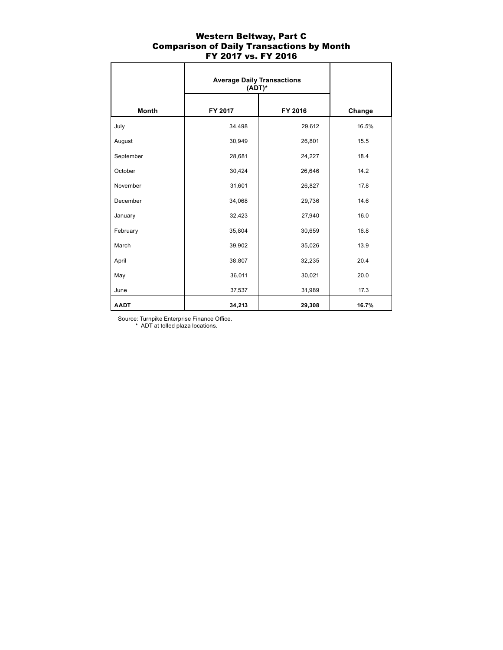## Western Beltway, Part C Comparison of Daily Transactions by Month FY 2017 vs. FY 2016

|              | <b>Average Daily Transactions</b><br>$(ADT)^*$ |         |        |
|--------------|------------------------------------------------|---------|--------|
| <b>Month</b> | FY 2017                                        | FY 2016 | Change |
| July         | 34,498                                         | 29,612  | 16.5%  |
| August       | 30,949                                         | 26,801  | 15.5   |
| September    | 28,681                                         | 24,227  | 18.4   |
| October      | 30,424                                         | 26,646  | 14.2   |
| November     | 31,601                                         | 26,827  | 17.8   |
| December     | 34,068                                         | 29,736  | 14.6   |
| January      | 32,423                                         | 27,940  | 16.0   |
| February     | 35,804                                         | 30,659  | 16.8   |
| March        | 39,902                                         | 35,026  | 13.9   |
| April        | 38,807                                         | 32,235  | 20.4   |
| May          | 36,011                                         | 30,021  | 20.0   |
| June         | 37,537                                         | 31,989  | 17.3   |
| <b>AADT</b>  | 34,213                                         | 29,308  | 16.7%  |

Source: Turnpike Enterprise Finance Office.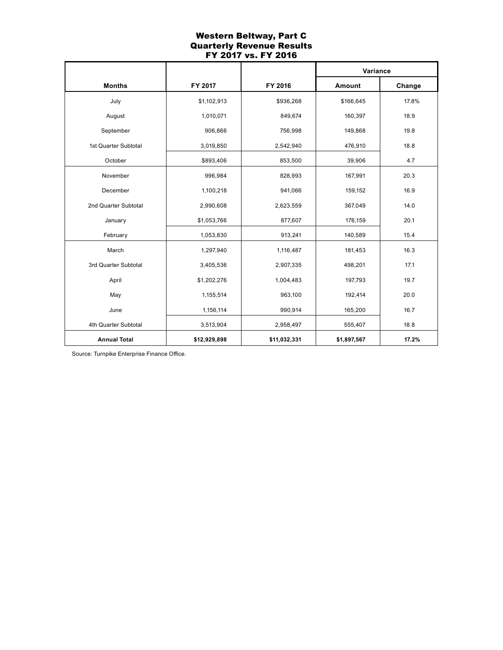# Western Beltway, Part C Quarterly Revenue Results FY 2017 vs. FY 2016

|                      |              |                    | Variance    |              |
|----------------------|--------------|--------------------|-------------|--------------|
| <b>Months</b>        | FY 2017      | FY 2016            | Amount      | Change       |
| July                 | \$1,102,913  | \$936,268          | \$166,645   | 17.8%        |
| August               | 1,010,071    | 849,674            | 160,397     | 18.9         |
| September            | 906,866      | 756,998            | 149,868     | 19.8         |
| 1st Quarter Subtotal | 3,019,850    | 2,542,940          | 476,910     | 18.8         |
| October              | \$893,406    | 853,500            | 39,906      | 4.7          |
| November             | 996,984      | 828,993            | 167,991     | 20.3         |
| December             | 1,100,218    | 941,066            | 159,152     | 16.9<br>14.0 |
| 2nd Quarter Subtotal | 2,990,608    | 2,623,559          | 367,049     |              |
| January              | \$1,053,766  | 877,607            | 176,159     | 20.1         |
| February             | 1,053,830    | 913,241            | 140,589     | 15.4         |
| March                | 1,297,940    | 1,116,487          | 181,453     | 16.3         |
| 3rd Quarter Subtotal | 3,405,536    | 2,907,335          | 498,201     | 17.1         |
| April                | \$1,202,276  | 1,004,483          | 197,793     | 19.7         |
| May                  | 1,155,514    | 963,100            | 192,414     | 20.0         |
| June                 | 1,156,114    | 165,200<br>990,914 |             | 16.7         |
| 4th Quarter Subtotal | 3,513,904    | 2,958,497          | 555,407     | 18.8         |
| <b>Annual Total</b>  | \$12,929,898 | \$11,032,331       | \$1,897,567 | 17.2%        |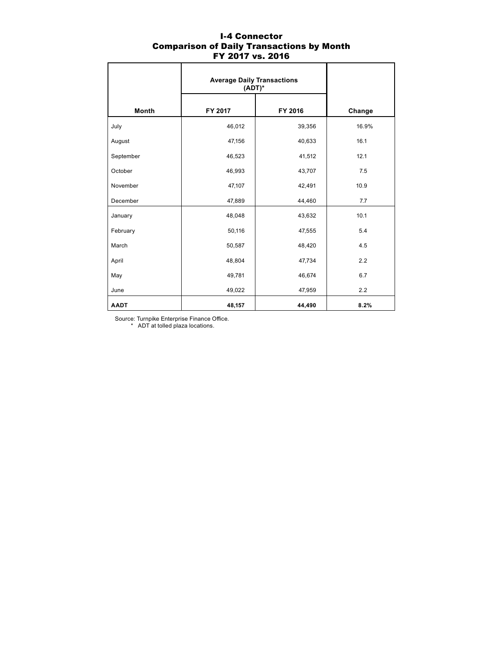|              | <b>Average Daily Transactions</b><br>$(ADT)^*$ |         |        |
|--------------|------------------------------------------------|---------|--------|
| <b>Month</b> | FY 2017                                        | FY 2016 | Change |
| July         | 46,012                                         | 39,356  | 16.9%  |
| August       | 47,156                                         | 40,633  | 16.1   |
| September    | 46,523                                         | 41,512  | 12.1   |
| October      | 46,993                                         | 43,707  | 7.5    |
| November     | 47,107                                         | 42,491  | 10.9   |
| December     | 47,889                                         | 44,460  | 7.7    |
| January      | 48,048                                         | 43,632  | 10.1   |
| February     | 50,116                                         | 47,555  | 5.4    |
| March        | 50,587                                         | 48,420  | 4.5    |
| April        | 48,804                                         | 47,734  | 2.2    |
| May          | 49,781                                         | 46,674  | 6.7    |
| June         | 49,022                                         | 47,959  | 2.2    |
| <b>AADT</b>  | 48,157                                         | 44,490  | 8.2%   |

### I-4 Connector Comparison of Daily Transactions by Month FY 2017 vs. 2016

Source: Turnpike Enterprise Finance Office.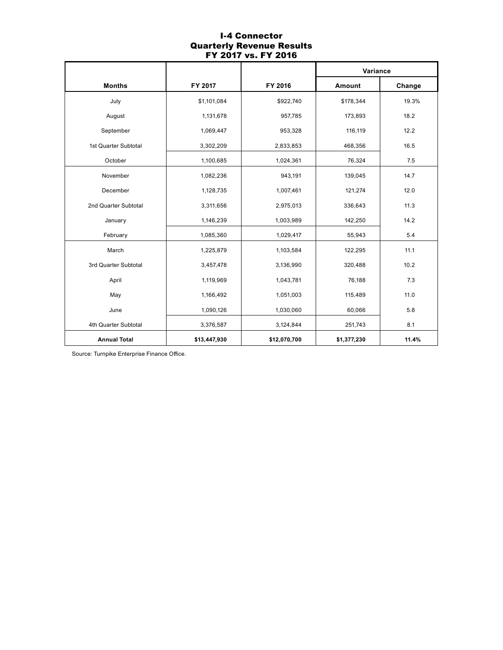## I-4 Connector Quarterly Revenue Results FY 2017 vs. FY 2016

|                      |              |                     | Variance    |              |
|----------------------|--------------|---------------------|-------------|--------------|
| <b>Months</b>        | FY 2017      | FY 2016             | Amount      | Change       |
| July                 | \$1,101,084  | \$922,740           | \$178,344   | 19.3%        |
| August               | 1,131,678    | 957,785             | 173,893     | 18.2         |
| September            | 1,069,447    | 953,328             | 116,119     | 12.2         |
| 1st Quarter Subtotal | 3,302,209    | 2,833,853           | 468,356     | 16.5         |
| October              | 1,100,685    | 1,024,361           | 76,324      | 7.5          |
| November             | 1,082,236    | 943,191             | 139,045     | 14.7         |
| December             | 1,128,735    | 1,007,461           | 121,274     | 12.0<br>11.3 |
| 2nd Quarter Subtotal | 3,311,656    | 2,975,013           | 336,643     |              |
| January              | 1,146,239    | 1,003,989           | 142,250     | 14.2         |
| February             | 1,085,360    | 1,029,417           | 55,943      | 5.4          |
| March                | 1,225,879    | 1,103,584           | 122,295     | 11.1         |
| 3rd Quarter Subtotal | 3,457,478    | 3,136,990           | 320,488     | 10.2         |
| April                | 1,119,969    | 1,043,781           | 76,188      | 7.3          |
| May                  | 1,166,492    | 1,051,003           | 115,489     | 11.0         |
| June                 | 1,090,126    | 1,030,060<br>60,066 |             | 5.8          |
| 4th Quarter Subtotal | 3,376,587    | 3,124,844           | 251,743     | 8.1          |
| <b>Annual Total</b>  | \$13,447,930 | \$12,070,700        | \$1,377,230 | 11.4%        |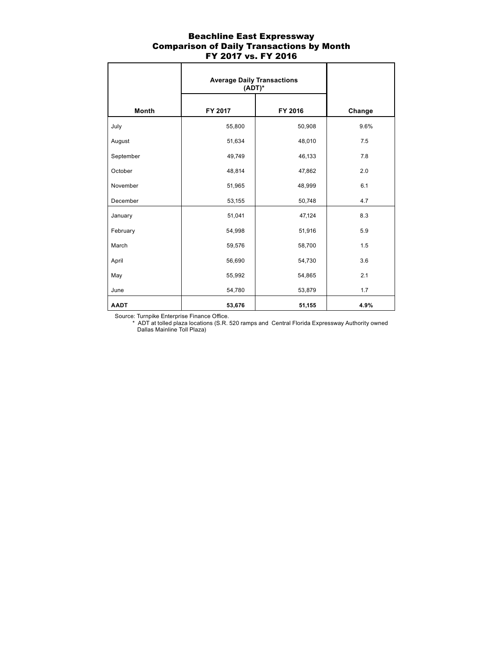## Beachline East Expressway Comparison of Daily Transactions by Month FY 2017 vs. FY 2016

|              | <b>Average Daily Transactions</b><br>$(ADT)^*$ |         |        |
|--------------|------------------------------------------------|---------|--------|
| <b>Month</b> | FY 2017                                        | FY 2016 | Change |
| July         | 55,800                                         | 50,908  | 9.6%   |
| August       | 51,634                                         | 48,010  | 7.5    |
| September    | 49,749                                         | 46,133  | 7.8    |
| October      | 48,814                                         | 47,862  | 2.0    |
| November     | 51,965                                         | 48,999  | 6.1    |
| December     | 53,155                                         | 50,748  | 4.7    |
| January      | 51,041                                         | 47,124  | 8.3    |
| February     | 54,998                                         | 51,916  | 5.9    |
| March        | 59,576                                         | 58,700  | 1.5    |
| April        | 56,690                                         | 54,730  | 3.6    |
| May          | 55,992                                         | 54,865  | 2.1    |
| June         | 54,780                                         | 53,879  | 1.7    |
| <b>AADT</b>  | 53,676                                         | 51,155  | 4.9%   |

Source: Turnpike Enterprise Finance Office.

 \* ADT at tolled plaza locations (S.R. 520 ramps and Central Florida Expressway Authority owned Dallas Mainline Toll Plaza)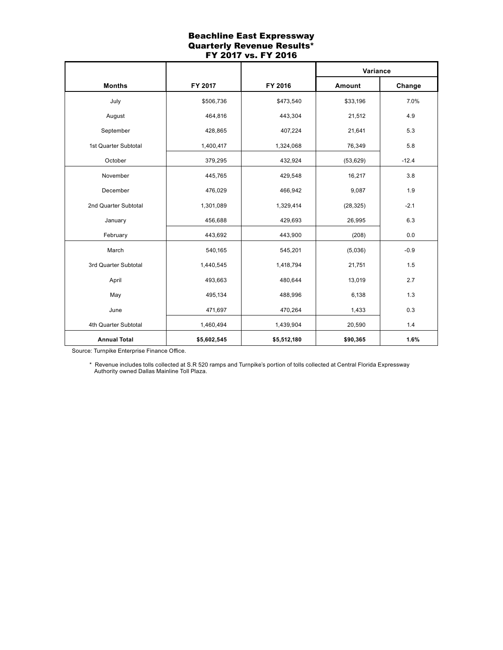## Beachline East Expressway Quarterly Revenue Results\* FY 2017 vs. FY 2016

|                      |             |             | Variance  |                      |
|----------------------|-------------|-------------|-----------|----------------------|
| <b>Months</b>        | FY 2017     |             | Amount    | Change               |
| July                 | \$506,736   | \$473,540   | \$33,196  | 7.0%                 |
| August               | 464,816     | 443,304     | 21,512    | 4.9                  |
| September            | 428,865     | 407,224     | 21,641    | 5.3                  |
| 1st Quarter Subtotal | 1,400,417   | 1,324,068   | 76,349    | 5.8                  |
| October              | 379,295     | 432,924     | (53, 629) | $-12.4$              |
| November             | 445,765     | 429,548     | 16,217    | 3.8                  |
| December             | 476,029     | 466,942     | 9,087     | 1.9<br>$-2.1$<br>6.3 |
| 2nd Quarter Subtotal | 1,301,089   | 1,329,414   | (28, 325) |                      |
| January              | 456,688     | 429,693     | 26,995    |                      |
| February             | 443,692     | 443,900     | (208)     | 0.0                  |
| March                | 540,165     | 545,201     | (5,036)   | $-0.9$               |
| 3rd Quarter Subtotal | 1,440,545   | 1,418,794   | 21,751    | 1.5                  |
| April                | 493,663     | 480,644     | 13,019    | 2.7                  |
| May                  | 495,134     | 488,996     | 6,138     | 1.3                  |
| June                 | 471,697     | 470,264     | 1,433     | 0.3                  |
| 4th Quarter Subtotal | 1,460,494   | 1,439,904   | 20,590    | 1.4                  |
| <b>Annual Total</b>  | \$5,602,545 | \$5,512,180 | \$90,365  | 1.6%                 |

Source: Turnpike Enterprise Finance Office.

 \* Revenue includes tolls collected at S.R 520 ramps and Turnpike's portion of tolls collected at Central Florida Expressway Authority owned Dallas Mainline Toll Plaza.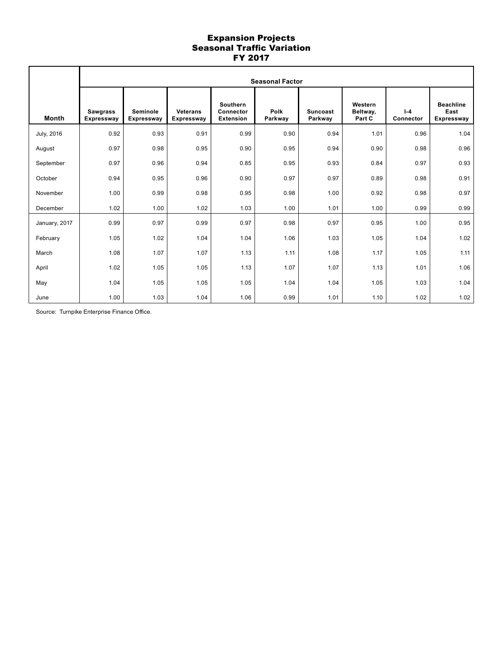## Expansion Projects Seasonal Traffic Variation FY 2017

|               | <b>Seasonal Factor</b>        |                               |                                      |                                                         |                        |                            |                               |                      |                                               |
|---------------|-------------------------------|-------------------------------|--------------------------------------|---------------------------------------------------------|------------------------|----------------------------|-------------------------------|----------------------|-----------------------------------------------|
| <b>Month</b>  | <b>Sawgrass</b><br>Expressway | Seminole<br><b>Expressway</b> | <b>Veterans</b><br><b>Expressway</b> | <b>Southern</b><br><b>Connector</b><br><b>Extension</b> | <b>Polk</b><br>Parkway | <b>Suncoast</b><br>Parkway | Western<br>Beltway,<br>Part C | $I - 4$<br>Connector | <b>Beachline</b><br>East<br><b>Expressway</b> |
| July, 2016    | 0.92                          | 0.93                          | 0.91                                 | 0.99                                                    | 0.90                   | 0.94                       | 1.01                          | 0.96                 | 1.04                                          |
| August        | 0.97                          | 0.98                          | 0.95                                 | 0.90                                                    | 0.95                   | 0.94                       | 0.90                          | 0.98                 | 0.96                                          |
| September     | 0.97                          | 0.96                          | 0.94                                 | 0.85                                                    | 0.95                   | 0.93                       | 0.84                          | 0.97                 | 0.93                                          |
| October       | 0.94                          | 0.95                          | 0.96                                 | 0.90                                                    | 0.97                   | 0.97                       | 0.89                          | 0.98                 | 0.91                                          |
| November      | 1.00                          | 0.99                          | 0.98                                 | 0.95                                                    | 0.98                   | 1.00                       | 0.92                          | 0.98                 | 0.97                                          |
| December      | 1.02                          | 1.00                          | 1.02                                 | 1.03                                                    | 1.00                   | 1.01                       | 1.00                          | 0.99                 | 0.99                                          |
| January, 2017 | 0.99                          | 0.97                          | 0.99                                 | 0.97                                                    | 0.98                   | 0.97                       | 0.95                          | 1.00                 | 0.95                                          |
| February      | 1.05                          | 1.02                          | 1.04                                 | 1.04                                                    | 1.06                   | 1.03                       | 1.05                          | 1.04                 | 1.02                                          |
| March         | 1.08                          | 1.07                          | 1.07                                 | 1.13                                                    | 1.11                   | 1.08                       | 1.17                          | 1.05                 | 1.11                                          |
| April         | 1.02                          | 1.05                          | 1.05                                 | 1.13                                                    | 1.07                   | 1.07                       | 1.13                          | 1.01                 | 1.06                                          |
| May           | 1.04                          | 1.05                          | 1.05                                 | 1.05                                                    | 1.04                   | 1.04                       | 1.05                          | 1.03                 | 1.04                                          |
| June          | 1.00                          | 1.03                          | 1.04                                 | 1.06                                                    | 0.99                   | 1.01                       | 1.10                          | 1.02                 | 1.02                                          |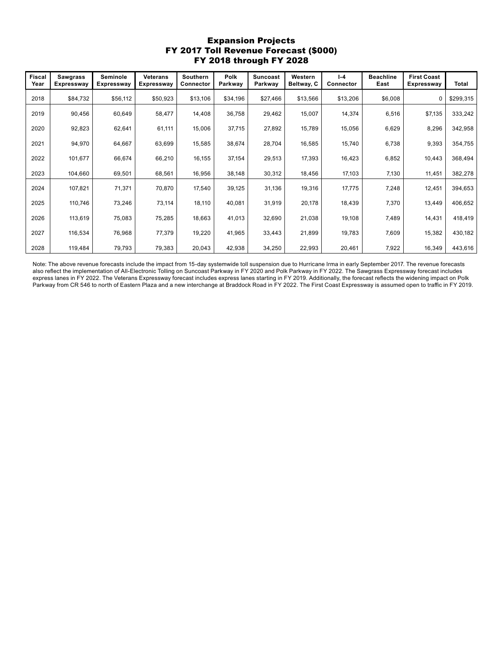## Expansion Projects FY 2017 Toll Revenue Forecast (\$000) FY 2018 through FY 2028

| <b>Fiscal</b><br>Year | <b>Sawgrass</b><br><b>Expressway</b> | Seminole<br><b>Expressway</b> | <b>Veterans</b><br><b>Expressway</b> | <b>Southern</b><br>Connector | <b>Polk</b><br>Parkway | <b>Suncoast</b><br>Parkwav | Western<br>Beltway, C | $I - 4$<br>Connector | <b>Beachline</b><br>East | <b>First Coast</b><br><b>Expressway</b> | Total     |
|-----------------------|--------------------------------------|-------------------------------|--------------------------------------|------------------------------|------------------------|----------------------------|-----------------------|----------------------|--------------------------|-----------------------------------------|-----------|
| 2018                  | \$84,732                             | \$56,112                      | \$50,923                             | \$13,106                     | \$34,196               | \$27,466                   | \$13,566              | \$13,206             | \$6,008                  | $\mathbf 0$                             | \$299,315 |
| 2019                  | 90,456                               | 60,649                        | 58,477                               | 14,408                       | 36,758                 | 29,462                     | 15,007                | 14,374               | 6,516                    | \$7,135                                 | 333,242   |
| 2020                  | 92,823                               | 62,641                        | 61,111                               | 15,006                       | 37,715                 | 27,892                     | 15,789                | 15,056               | 6,629                    | 8,296                                   | 342,958   |
| 2021                  | 94,970                               | 64,667                        | 63,699                               | 15,585                       | 38,674                 | 28,704                     | 16,585                | 15,740               | 6,738                    | 9,393                                   | 354,755   |
| 2022                  | 101,677                              | 66,674                        | 66,210                               | 16,155                       | 37,154                 | 29,513                     | 17,393                | 16,423               | 6,852                    | 10,443                                  | 368,494   |
| 2023                  | 104,660                              | 69,501                        | 68,561                               | 16,956                       | 38,148                 | 30,312                     | 18,456                | 17,103               | 7,130                    | 11,451                                  | 382,278   |
| 2024                  | 107,821                              | 71,371                        | 70,870                               | 17,540                       | 39,125                 | 31,136                     | 19,316                | 17,775               | 7,248                    | 12,451                                  | 394,653   |
| 2025                  | 110,746                              | 73,246                        | 73,114                               | 18,110                       | 40,081                 | 31,919                     | 20,178                | 18,439               | 7,370                    | 13,449                                  | 406,652   |
| 2026                  | 113,619                              | 75,083                        | 75,285                               | 18,663                       | 41,013                 | 32,690                     | 21,038                | 19,108               | 7,489                    | 14,431                                  | 418,419   |
| 2027                  | 116,534                              | 76,968                        | 77,379                               | 19,220                       | 41,965                 | 33,443                     | 21,899                | 19,783               | 7,609                    | 15,382                                  | 430,182   |
| 2028                  | 119,484                              | 79,793                        | 79,383                               | 20,043                       | 42,938                 | 34,250                     | 22,993                | 20,461               | 7,922                    | 16,349                                  | 443,616   |

Note: The above revenue forecasts include the impact from 15-day systemwide toll suspension due to Hurricane Irma in early September 2017. The revenue forecasts also reflect the implementation of All-Electronic Tolling on Suncoast Parkway in FY 2020 and Polk Parkway in FY 2022. The Sawgrass Expressway forecast includes express lanes in FY 2022. The Veterans Expressway forecast includes express lanes starting in FY 2019. Additionally, the forecast reflects the widening impact on Polk Parkway from CR 546 to north of Eastern Plaza and a new interchange at Braddock Road in FY 2022. The First Coast Expressway is assumed open to traffic in FY 2019.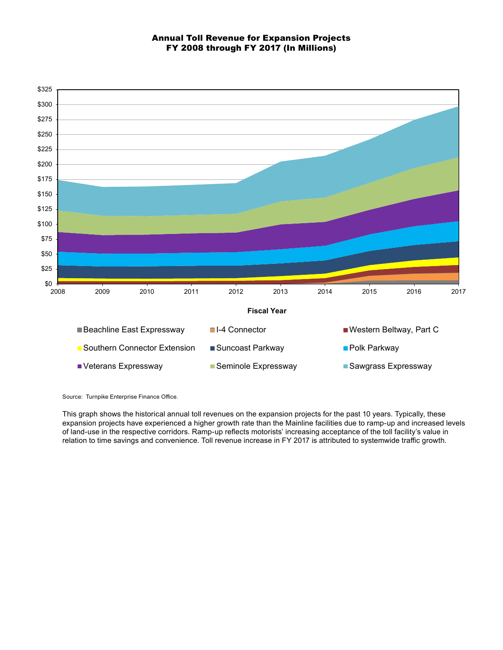## Annual Toll Revenue for Expansion Projects FY 2008 through FY 2017 (In Millions)



Source: Turnpike Enterprise Finance Office.

This graph shows the historical annual toll revenues on the expansion projects for the past 10 years. Typically, these expansion projects have experienced a higher growth rate than the Mainline facilities due to ramp-up and increased levels of land-use in the respective corridors. Ramp-up reflects motorists' increasing acceptance of the toll facility's value in relation to time savings and convenience. Toll revenue increase in FY 2017 is attributed to systemwide traffic growth.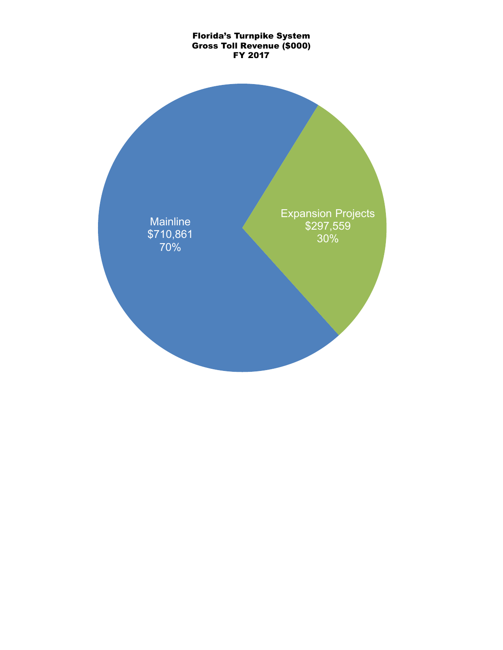# Florida's Turnpike System Gross Toll Revenue (\$000) FY 2017

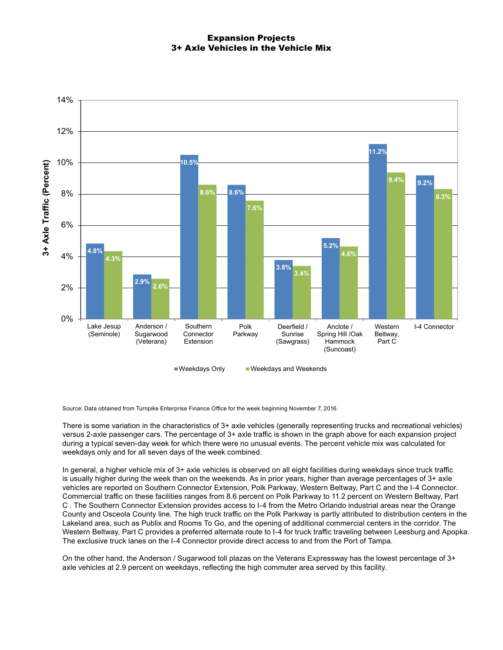## Expansion Projects 3+ Axle Vehicles in the Vehicle Mix



Source: Data obtained from Turnpike Enterprise Finance Office for the week beginning November 7, 2016.

There is some variation in the characteristics of 3+ axle vehicles (generally representing trucks and recreational vehicles) versus 2-axle passenger cars. The percentage of 3+ axle traffic is shown in the graph above for each expansion project during a typical seven-day week for which there were no unusual events. The percent vehicle mix was calculated for weekdays only and for all seven days of the week combined.

In general, a higher vehicle mix of 3+ axle vehicles is observed on all eight facilities during weekdays since truck traffic is usually higher during the week than on the weekends. As in prior years, higher than average percentages of 3+ axle vehicles are reported on Southern Connector Extension, Polk Parkway, Western Beltway, Part C and the I-4 Connector. Commercial traffic on these facilities ranges from 8.6 percent on Polk Parkway to 11.2 percent on Western Beltway, Part C . The Southern Connector Extension provides access to I-4 from the Metro Orlando industrial areas near the Orange County and Osceola County line. The high truck traffic on the Polk Parkway is partly attributed to distribution centers in the Lakeland area, such as Publix and Rooms To Go, and the opening of additional commercial centers in the corridor. The Western Beltway, Part C provides a preferred alternate route to I-4 for truck traffic traveling between Leesburg and Apopka. The exclusive truck lanes on the I-4 Connector provide direct access to and from the Port of Tampa.

On the other hand, the Anderson / Sugarwood toll plazas on the Veterans Expressway has the lowest percentage of 3+ axle vehicles at 2.9 percent on weekdays, reflecting the high commuter area served by this facility.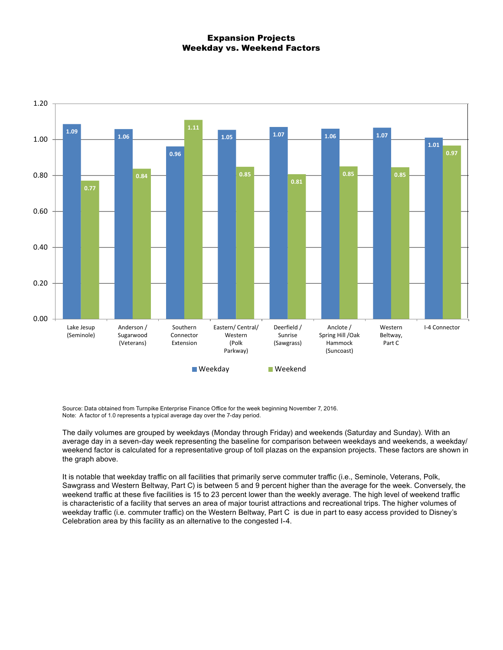#### Expansion Projects Weekday vs. Weekend Factors



Source: Data obtained from Turnpike Enterprise Finance Office for the week beginning November 7, 2016. Note: A factor of 1.0 represents a typical average day over the 7-day period.

The daily volumes are grouped by weekdays (Monday through Friday) and weekends (Saturday and Sunday). With an average day in a seven-day week representing the baseline for comparison between weekdays and weekends, a weekday/ weekend factor is calculated for a representative group of toll plazas on the expansion projects. These factors are shown in the graph above.

It is notable that weekday traffic on all facilities that primarily serve commuter traffic (i.e., Seminole, Veterans, Polk, Sawgrass and Western Beltway, Part C) is between 5 and 9 percent higher than the average for the week. Conversely, the weekend traffic at these five facilities is 15 to 23 percent lower than the weekly average. The high level of weekend traffic is characteristic of a facility that serves an area of major tourist attractions and recreational trips. The higher volumes of weekday traffic (i.e. commuter traffic) on the Western Beltway, Part C is due in part to easy access provided to Disney's Celebration area by this facility as an alternative to the congested I-4.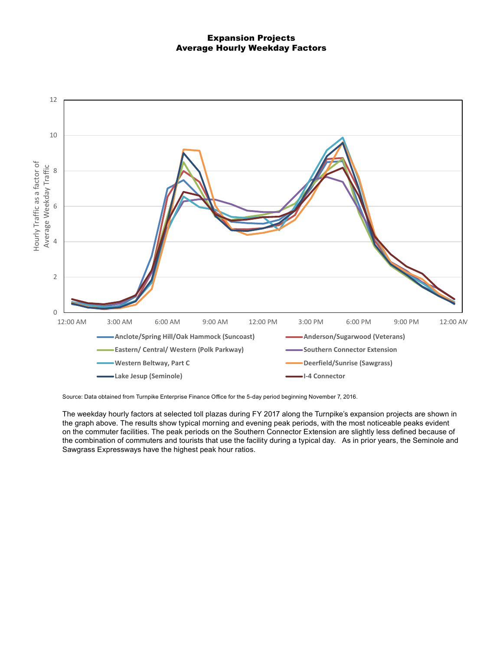### Expansion Projects Average Hourly Weekday Factors



Source: Data obtained from Turnpike Enterprise Finance Office for the 5-day period beginning November 7, 2016.

The weekday hourly factors at selected toll plazas during FY 2017 along the Turnpike's expansion projects are shown in the graph above. The results show typical morning and evening peak periods, with the most noticeable peaks evident on the commuter facilities. The peak periods on the Southern Connector Extension are slightly less defined because of the combination of commuters and tourists that use the facility during a typical day. As in prior years, the Seminole and Sawgrass Expressways have the highest peak hour ratios.